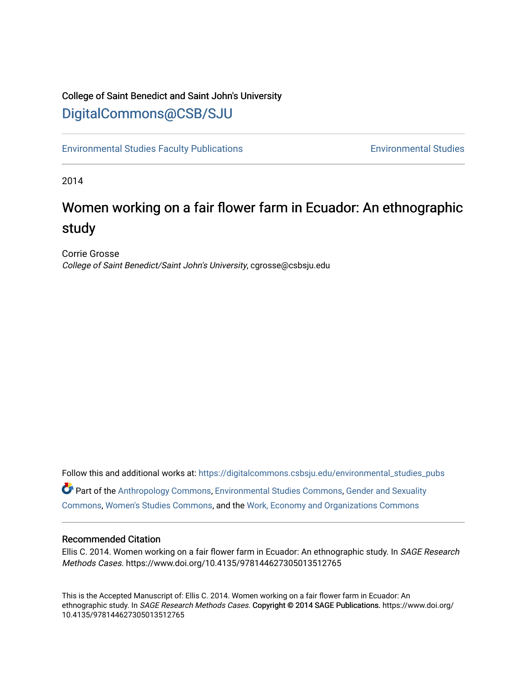## College of Saint Benedict and Saint John's University [DigitalCommons@CSB/SJU](https://digitalcommons.csbsju.edu/)

[Environmental Studies Faculty Publications](https://digitalcommons.csbsju.edu/environmental_studies_pubs) [Environmental Studies](https://digitalcommons.csbsju.edu/environmental_studies) 

2014

# Women working on a fair flower farm in Ecuador: An ethnographic study

Corrie Grosse College of Saint Benedict/Saint John's University, cgrosse@csbsju.edu

Follow this and additional works at: [https://digitalcommons.csbsju.edu/environmental\\_studies\\_pubs](https://digitalcommons.csbsju.edu/environmental_studies_pubs?utm_source=digitalcommons.csbsju.edu%2Fenvironmental_studies_pubs%2F18&utm_medium=PDF&utm_campaign=PDFCoverPages)  Part of the [Anthropology Commons](http://network.bepress.com/hgg/discipline/318?utm_source=digitalcommons.csbsju.edu%2Fenvironmental_studies_pubs%2F18&utm_medium=PDF&utm_campaign=PDFCoverPages), [Environmental Studies Commons,](http://network.bepress.com/hgg/discipline/1333?utm_source=digitalcommons.csbsju.edu%2Fenvironmental_studies_pubs%2F18&utm_medium=PDF&utm_campaign=PDFCoverPages) [Gender and Sexuality](http://network.bepress.com/hgg/discipline/420?utm_source=digitalcommons.csbsju.edu%2Fenvironmental_studies_pubs%2F18&utm_medium=PDF&utm_campaign=PDFCoverPages) 

[Commons](http://network.bepress.com/hgg/discipline/420?utm_source=digitalcommons.csbsju.edu%2Fenvironmental_studies_pubs%2F18&utm_medium=PDF&utm_campaign=PDFCoverPages), [Women's Studies Commons,](http://network.bepress.com/hgg/discipline/561?utm_source=digitalcommons.csbsju.edu%2Fenvironmental_studies_pubs%2F18&utm_medium=PDF&utm_campaign=PDFCoverPages) and the [Work, Economy and Organizations Commons](http://network.bepress.com/hgg/discipline/433?utm_source=digitalcommons.csbsju.edu%2Fenvironmental_studies_pubs%2F18&utm_medium=PDF&utm_campaign=PDFCoverPages)

#### Recommended Citation

Ellis C. 2014. Women working on a fair flower farm in Ecuador: An ethnographic study. In SAGE Research Methods Cases. https://www.doi.org/10.4135/978144627305013512765

This is the Accepted Manuscript of: Ellis C. 2014. Women working on a fair flower farm in Ecuador: An ethnographic study. In SAGE Research Methods Cases. Copyright @ 2014 SAGE Publications. https://www.doi.org/ 10.4135/978144627305013512765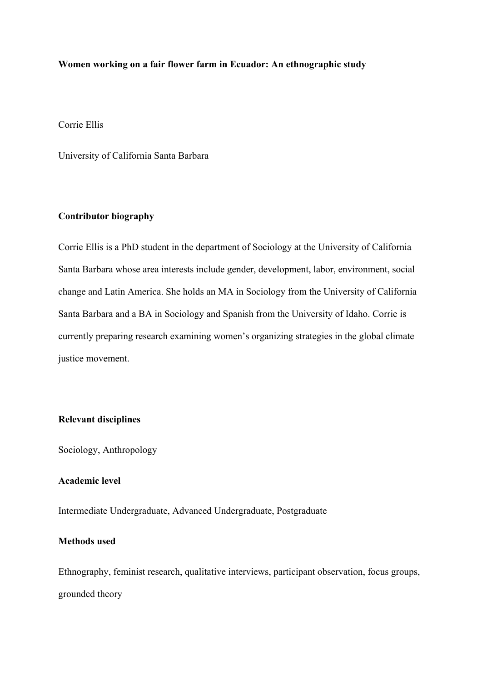## **Women working on a fair flower farm in Ecuador: An ethnographic study**

Corrie Ellis

University of California Santa Barbara

## **Contributor biography**

Corrie Ellis is a PhD student in the department of Sociology at the University of California Santa Barbara whose area interests include gender, development, labor, environment, social change and Latin America. She holds an MA in Sociology from the University of California Santa Barbara and a BA in Sociology and Spanish from the University of Idaho. Corrie is currently preparing research examining women's organizing strategies in the global climate justice movement.

## **Relevant disciplines**

Sociology, Anthropology

## **Academic level**

Intermediate Undergraduate, Advanced Undergraduate, Postgraduate

## **Methods used**

Ethnography, feminist research, qualitative interviews, participant observation, focus groups, grounded theory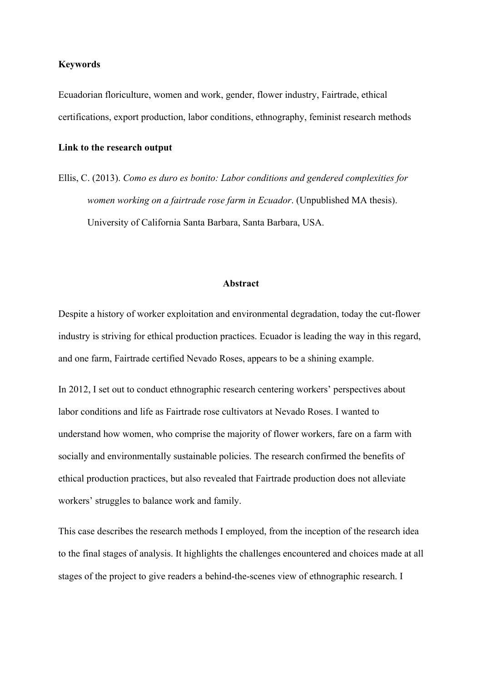#### **Keywords**

Ecuadorian floriculture, women and work, gender, flower industry, Fairtrade, ethical certifications, export production, labor conditions, ethnography, feminist research methods

#### **Link to the research output**

Ellis, C. (2013). *Como es duro es bonito: Labor conditions and gendered complexities for women working on a fairtrade rose farm in Ecuador*. (Unpublished MA thesis). University of California Santa Barbara, Santa Barbara, USA.

## **Abstract**

Despite a history of worker exploitation and environmental degradation, today the cut-flower industry is striving for ethical production practices. Ecuador is leading the way in this regard, and one farm, Fairtrade certified Nevado Roses, appears to be a shining example.

In 2012, I set out to conduct ethnographic research centering workers' perspectives about labor conditions and life as Fairtrade rose cultivators at Nevado Roses. I wanted to understand how women, who comprise the majority of flower workers, fare on a farm with socially and environmentally sustainable policies. The research confirmed the benefits of ethical production practices, but also revealed that Fairtrade production does not alleviate workers' struggles to balance work and family.

This case describes the research methods I employed, from the inception of the research idea to the final stages of analysis. It highlights the challenges encountered and choices made at all stages of the project to give readers a behind-the-scenes view of ethnographic research. I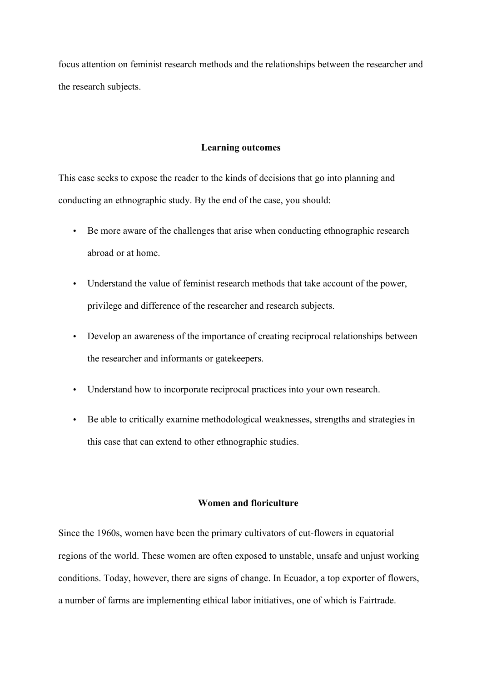focus attention on feminist research methods and the relationships between the researcher and the research subjects.

## **Learning outcomes**

This case seeks to expose the reader to the kinds of decisions that go into planning and conducting an ethnographic study. By the end of the case, you should:

- Be more aware of the challenges that arise when conducting ethnographic research abroad or at home.
- Understand the value of feminist research methods that take account of the power, privilege and difference of the researcher and research subjects.
- Develop an awareness of the importance of creating reciprocal relationships between the researcher and informants or gatekeepers.
- Understand how to incorporate reciprocal practices into your own research.
- Be able to critically examine methodological weaknesses, strengths and strategies in this case that can extend to other ethnographic studies.

## **Women and floriculture**

Since the 1960s, women have been the primary cultivators of cut-flowers in equatorial regions of the world. These women are often exposed to unstable, unsafe and unjust working conditions. Today, however, there are signs of change. In Ecuador, a top exporter of flowers, a number of farms are implementing ethical labor initiatives, one of which is Fairtrade.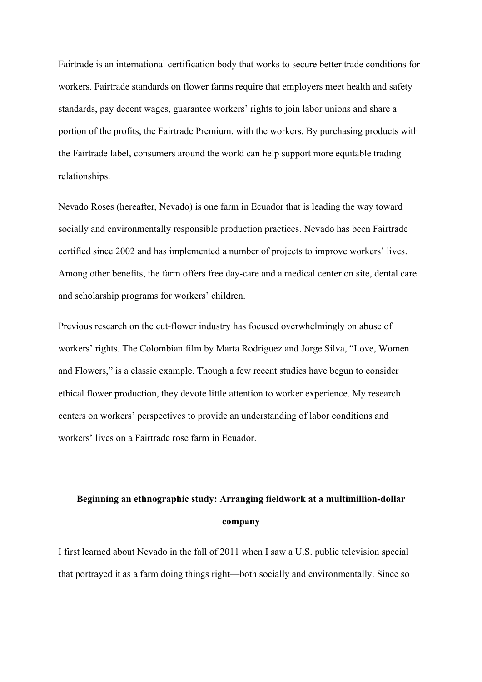Fairtrade is an international certification body that works to secure better trade conditions for workers. Fairtrade standards on flower farms require that employers meet health and safety standards, pay decent wages, guarantee workers' rights to join labor unions and share a portion of the profits, the Fairtrade Premium, with the workers. By purchasing products with the Fairtrade label, consumers around the world can help support more equitable trading relationships.

Nevado Roses (hereafter, Nevado) is one farm in Ecuador that is leading the way toward socially and environmentally responsible production practices. Nevado has been Fairtrade certified since 2002 and has implemented a number of projects to improve workers' lives. Among other benefits, the farm offers free day-care and a medical center on site, dental care and scholarship programs for workers' children.

Previous research on the cut-flower industry has focused overwhelmingly on abuse of workers' rights. The Colombian film by Marta Rodríguez and Jorge Silva, "Love, Women and Flowers," is a classic example. Though a few recent studies have begun to consider ethical flower production, they devote little attention to worker experience. My research centers on workers' perspectives to provide an understanding of labor conditions and workers' lives on a Fairtrade rose farm in Ecuador.

## **Beginning an ethnographic study: Arranging fieldwork at a multimillion-dollar company**

I first learned about Nevado in the fall of 2011 when I saw a U.S. public television special that portrayed it as a farm doing things right—both socially and environmentally. Since so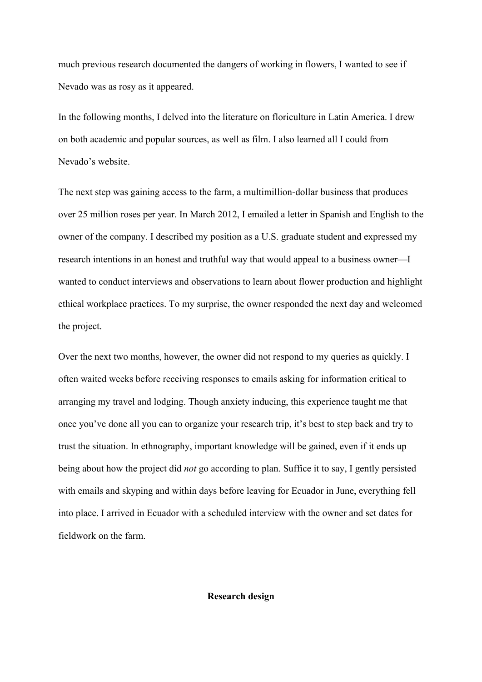much previous research documented the dangers of working in flowers, I wanted to see if Nevado was as rosy as it appeared.

In the following months, I delved into the literature on floriculture in Latin America. I drew on both academic and popular sources, as well as film. I also learned all I could from Nevado's website.

The next step was gaining access to the farm, a multimillion-dollar business that produces over 25 million roses per year. In March 2012, I emailed a letter in Spanish and English to the owner of the company. I described my position as a U.S. graduate student and expressed my research intentions in an honest and truthful way that would appeal to a business owner—I wanted to conduct interviews and observations to learn about flower production and highlight ethical workplace practices. To my surprise, the owner responded the next day and welcomed the project.

Over the next two months, however, the owner did not respond to my queries as quickly. I often waited weeks before receiving responses to emails asking for information critical to arranging my travel and lodging. Though anxiety inducing, this experience taught me that once you've done all you can to organize your research trip, it's best to step back and try to trust the situation. In ethnography, important knowledge will be gained, even if it ends up being about how the project did *not* go according to plan. Suffice it to say, I gently persisted with emails and skyping and within days before leaving for Ecuador in June, everything fell into place. I arrived in Ecuador with a scheduled interview with the owner and set dates for fieldwork on the farm.

### **Research design**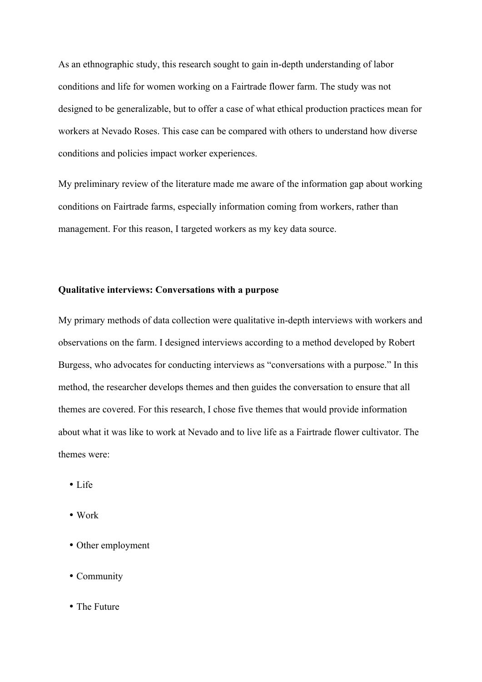As an ethnographic study, this research sought to gain in-depth understanding of labor conditions and life for women working on a Fairtrade flower farm. The study was not designed to be generalizable, but to offer a case of what ethical production practices mean for workers at Nevado Roses. This case can be compared with others to understand how diverse conditions and policies impact worker experiences.

My preliminary review of the literature made me aware of the information gap about working conditions on Fairtrade farms, especially information coming from workers, rather than management. For this reason, I targeted workers as my key data source.

## **Qualitative interviews: Conversations with a purpose**

My primary methods of data collection were qualitative in-depth interviews with workers and observations on the farm. I designed interviews according to a method developed by Robert Burgess, who advocates for conducting interviews as "conversations with a purpose." In this method, the researcher develops themes and then guides the conversation to ensure that all themes are covered. For this research, I chose five themes that would provide information about what it was like to work at Nevado and to live life as a Fairtrade flower cultivator. The themes were:

- Life
- Work
- Other employment
- Community
- The Future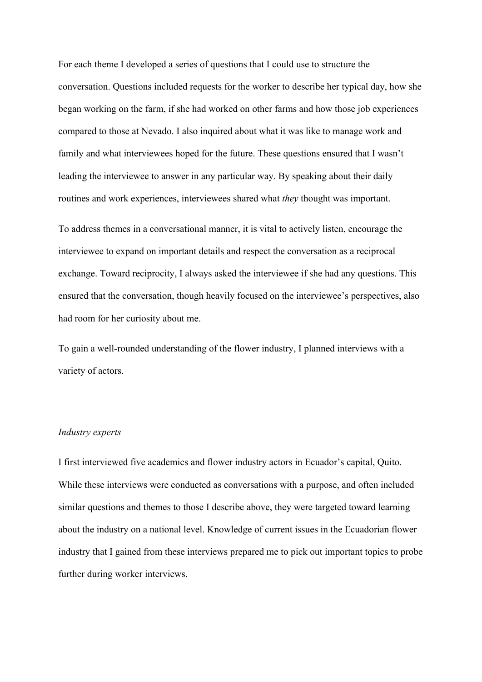For each theme I developed a series of questions that I could use to structure the conversation. Questions included requests for the worker to describe her typical day, how she began working on the farm, if she had worked on other farms and how those job experiences compared to those at Nevado. I also inquired about what it was like to manage work and family and what interviewees hoped for the future. These questions ensured that I wasn't leading the interviewee to answer in any particular way. By speaking about their daily routines and work experiences, interviewees shared what *they* thought was important.

To address themes in a conversational manner, it is vital to actively listen, encourage the interviewee to expand on important details and respect the conversation as a reciprocal exchange. Toward reciprocity, I always asked the interviewee if she had any questions. This ensured that the conversation, though heavily focused on the interviewee's perspectives, also had room for her curiosity about me.

To gain a well-rounded understanding of the flower industry, I planned interviews with a variety of actors.

## *Industry experts*

I first interviewed five academics and flower industry actors in Ecuador's capital, Quito. While these interviews were conducted as conversations with a purpose, and often included similar questions and themes to those I describe above, they were targeted toward learning about the industry on a national level. Knowledge of current issues in the Ecuadorian flower industry that I gained from these interviews prepared me to pick out important topics to probe further during worker interviews.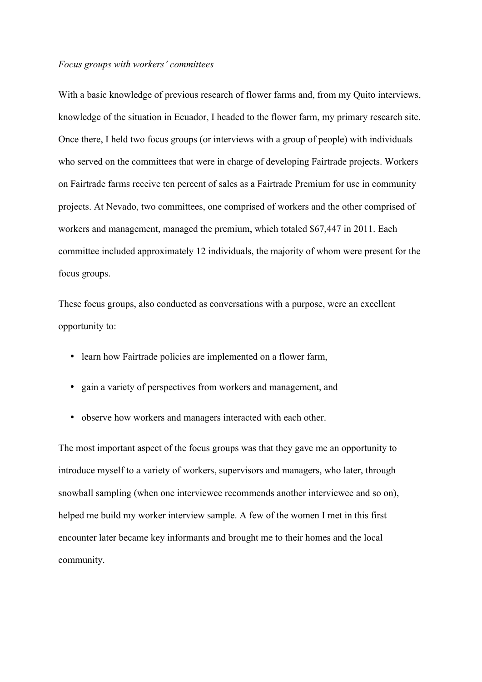#### *Focus groups with workers' committees*

With a basic knowledge of previous research of flower farms and, from my Quito interviews, knowledge of the situation in Ecuador, I headed to the flower farm, my primary research site. Once there, I held two focus groups (or interviews with a group of people) with individuals who served on the committees that were in charge of developing Fairtrade projects. Workers on Fairtrade farms receive ten percent of sales as a Fairtrade Premium for use in community projects. At Nevado, two committees, one comprised of workers and the other comprised of workers and management, managed the premium, which totaled \$67,447 in 2011. Each committee included approximately 12 individuals, the majority of whom were present for the focus groups.

These focus groups, also conducted as conversations with a purpose, were an excellent opportunity to:

- learn how Fairtrade policies are implemented on a flower farm,
- gain a variety of perspectives from workers and management, and
- observe how workers and managers interacted with each other.

The most important aspect of the focus groups was that they gave me an opportunity to introduce myself to a variety of workers, supervisors and managers, who later, through snowball sampling (when one interviewee recommends another interviewee and so on), helped me build my worker interview sample. A few of the women I met in this first encounter later became key informants and brought me to their homes and the local community.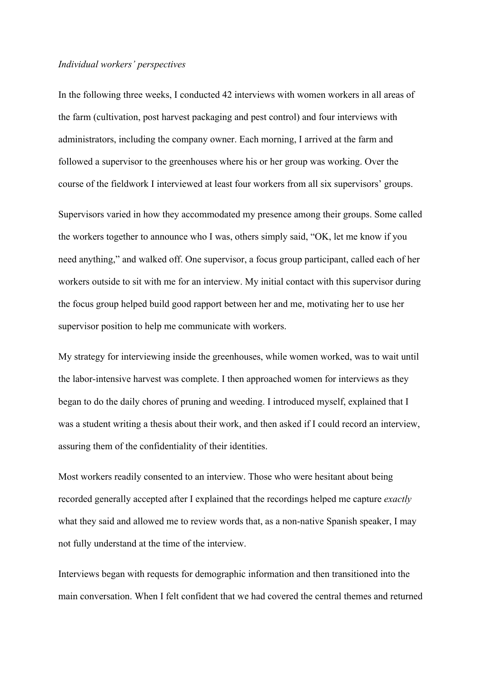#### *Individual workers' perspectives*

In the following three weeks, I conducted 42 interviews with women workers in all areas of the farm (cultivation, post harvest packaging and pest control) and four interviews with administrators, including the company owner. Each morning, I arrived at the farm and followed a supervisor to the greenhouses where his or her group was working. Over the course of the fieldwork I interviewed at least four workers from all six supervisors' groups.

Supervisors varied in how they accommodated my presence among their groups. Some called the workers together to announce who I was, others simply said, "OK, let me know if you need anything," and walked off. One supervisor, a focus group participant, called each of her workers outside to sit with me for an interview. My initial contact with this supervisor during the focus group helped build good rapport between her and me, motivating her to use her supervisor position to help me communicate with workers.

My strategy for interviewing inside the greenhouses, while women worked, was to wait until the labor-intensive harvest was complete. I then approached women for interviews as they began to do the daily chores of pruning and weeding. I introduced myself, explained that I was a student writing a thesis about their work, and then asked if I could record an interview, assuring them of the confidentiality of their identities.

Most workers readily consented to an interview. Those who were hesitant about being recorded generally accepted after I explained that the recordings helped me capture *exactly* what they said and allowed me to review words that, as a non-native Spanish speaker, I may not fully understand at the time of the interview.

Interviews began with requests for demographic information and then transitioned into the main conversation. When I felt confident that we had covered the central themes and returned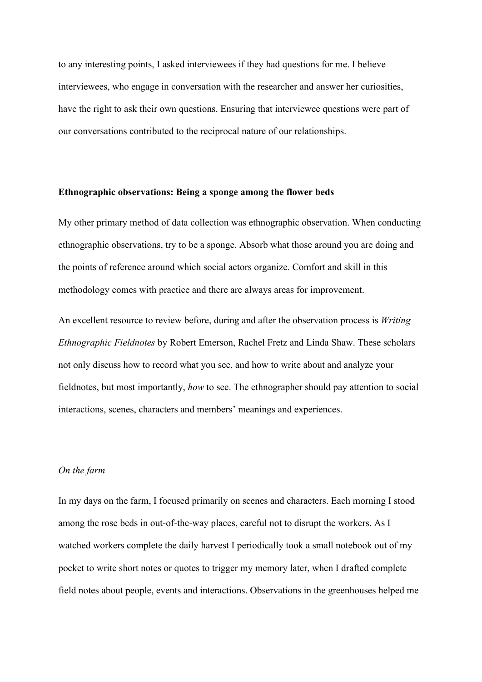to any interesting points, I asked interviewees if they had questions for me. I believe interviewees, who engage in conversation with the researcher and answer her curiosities, have the right to ask their own questions. Ensuring that interviewee questions were part of our conversations contributed to the reciprocal nature of our relationships.

## **Ethnographic observations: Being a sponge among the flower beds**

My other primary method of data collection was ethnographic observation. When conducting ethnographic observations, try to be a sponge. Absorb what those around you are doing and the points of reference around which social actors organize. Comfort and skill in this methodology comes with practice and there are always areas for improvement.

An excellent resource to review before, during and after the observation process is *Writing Ethnographic Fieldnotes* by Robert Emerson, Rachel Fretz and Linda Shaw. These scholars not only discuss how to record what you see, and how to write about and analyze your fieldnotes, but most importantly, *how* to see. The ethnographer should pay attention to social interactions, scenes, characters and members' meanings and experiences.

## *On the farm*

In my days on the farm, I focused primarily on scenes and characters. Each morning I stood among the rose beds in out-of-the-way places, careful not to disrupt the workers. As I watched workers complete the daily harvest I periodically took a small notebook out of my pocket to write short notes or quotes to trigger my memory later, when I drafted complete field notes about people, events and interactions. Observations in the greenhouses helped me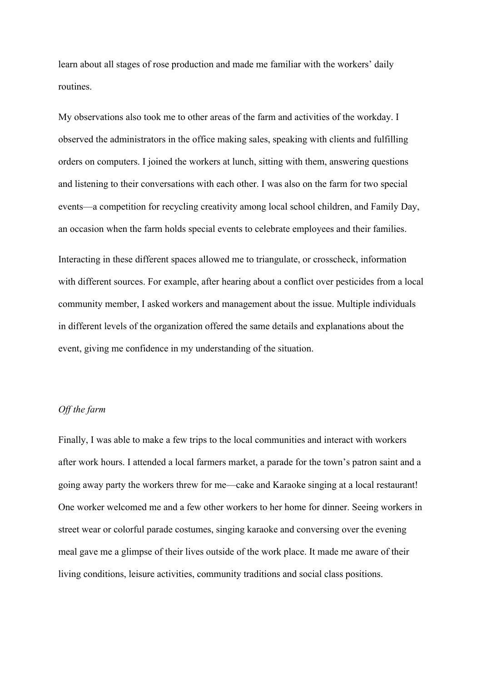learn about all stages of rose production and made me familiar with the workers' daily routines.

My observations also took me to other areas of the farm and activities of the workday. I observed the administrators in the office making sales, speaking with clients and fulfilling orders on computers. I joined the workers at lunch, sitting with them, answering questions and listening to their conversations with each other. I was also on the farm for two special events—a competition for recycling creativity among local school children, and Family Day, an occasion when the farm holds special events to celebrate employees and their families.

Interacting in these different spaces allowed me to triangulate, or crosscheck, information with different sources. For example, after hearing about a conflict over pesticides from a local community member, I asked workers and management about the issue. Multiple individuals in different levels of the organization offered the same details and explanations about the event, giving me confidence in my understanding of the situation.

#### *Off the farm*

Finally, I was able to make a few trips to the local communities and interact with workers after work hours. I attended a local farmers market, a parade for the town's patron saint and a going away party the workers threw for me—cake and Karaoke singing at a local restaurant! One worker welcomed me and a few other workers to her home for dinner. Seeing workers in street wear or colorful parade costumes, singing karaoke and conversing over the evening meal gave me a glimpse of their lives outside of the work place. It made me aware of their living conditions, leisure activities, community traditions and social class positions.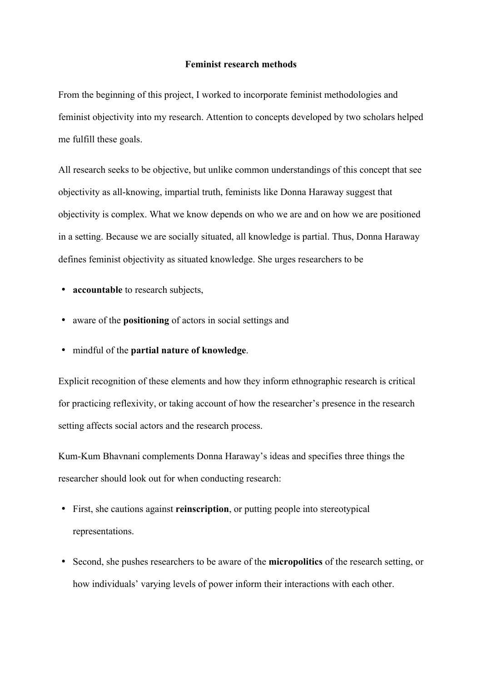#### **Feminist research methods**

From the beginning of this project, I worked to incorporate feminist methodologies and feminist objectivity into my research. Attention to concepts developed by two scholars helped me fulfill these goals.

All research seeks to be objective, but unlike common understandings of this concept that see objectivity as all-knowing, impartial truth, feminists like Donna Haraway suggest that objectivity is complex. What we know depends on who we are and on how we are positioned in a setting. Because we are socially situated, all knowledge is partial. Thus, Donna Haraway defines feminist objectivity as situated knowledge. She urges researchers to be

- **accountable** to research subjects,
- aware of the **positioning** of actors in social settings and
- mindful of the **partial nature of knowledge**.

Explicit recognition of these elements and how they inform ethnographic research is critical for practicing reflexivity, or taking account of how the researcher's presence in the research setting affects social actors and the research process.

Kum-Kum Bhavnani complements Donna Haraway's ideas and specifies three things the researcher should look out for when conducting research:

- First, she cautions against **reinscription**, or putting people into stereotypical representations.
- Second, she pushes researchers to be aware of the **micropolitics** of the research setting, or how individuals' varying levels of power inform their interactions with each other.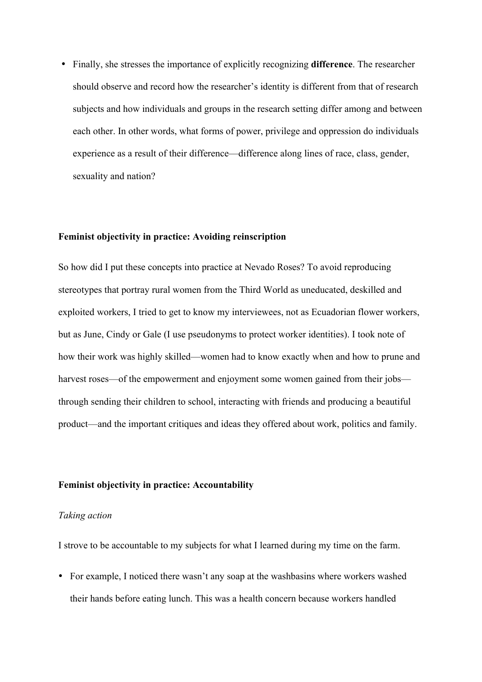• Finally, she stresses the importance of explicitly recognizing **difference**. The researcher should observe and record how the researcher's identity is different from that of research subjects and how individuals and groups in the research setting differ among and between each other. In other words, what forms of power, privilege and oppression do individuals experience as a result of their difference—difference along lines of race, class, gender, sexuality and nation?

## **Feminist objectivity in practice: Avoiding reinscription**

So how did I put these concepts into practice at Nevado Roses? To avoid reproducing stereotypes that portray rural women from the Third World as uneducated, deskilled and exploited workers, I tried to get to know my interviewees, not as Ecuadorian flower workers, but as June, Cindy or Gale (I use pseudonyms to protect worker identities). I took note of how their work was highly skilled—women had to know exactly when and how to prune and harvest roses—of the empowerment and enjoyment some women gained from their jobs through sending their children to school, interacting with friends and producing a beautiful product—and the important critiques and ideas they offered about work, politics and family.

## **Feminist objectivity in practice: Accountability**

#### *Taking action*

I strove to be accountable to my subjects for what I learned during my time on the farm.

• For example, I noticed there wasn't any soap at the washbasins where workers washed their hands before eating lunch. This was a health concern because workers handled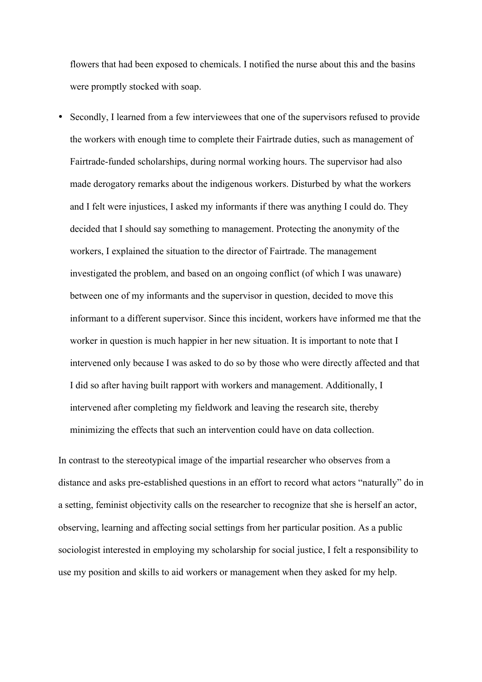flowers that had been exposed to chemicals. I notified the nurse about this and the basins were promptly stocked with soap.

• Secondly, I learned from a few interviewees that one of the supervisors refused to provide the workers with enough time to complete their Fairtrade duties, such as management of Fairtrade-funded scholarships, during normal working hours. The supervisor had also made derogatory remarks about the indigenous workers. Disturbed by what the workers and I felt were injustices, I asked my informants if there was anything I could do. They decided that I should say something to management. Protecting the anonymity of the workers, I explained the situation to the director of Fairtrade. The management investigated the problem, and based on an ongoing conflict (of which I was unaware) between one of my informants and the supervisor in question, decided to move this informant to a different supervisor. Since this incident, workers have informed me that the worker in question is much happier in her new situation. It is important to note that I intervened only because I was asked to do so by those who were directly affected and that I did so after having built rapport with workers and management. Additionally, I intervened after completing my fieldwork and leaving the research site, thereby minimizing the effects that such an intervention could have on data collection.

In contrast to the stereotypical image of the impartial researcher who observes from a distance and asks pre-established questions in an effort to record what actors "naturally" do in a setting, feminist objectivity calls on the researcher to recognize that she is herself an actor, observing, learning and affecting social settings from her particular position. As a public sociologist interested in employing my scholarship for social justice, I felt a responsibility to use my position and skills to aid workers or management when they asked for my help.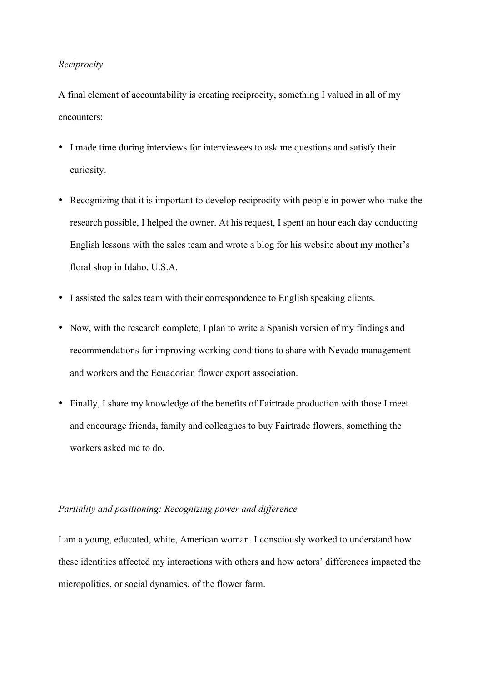## *Reciprocity*

A final element of accountability is creating reciprocity, something I valued in all of my encounters:

- I made time during interviews for interviewees to ask me questions and satisfy their curiosity.
- Recognizing that it is important to develop reciprocity with people in power who make the research possible, I helped the owner. At his request, I spent an hour each day conducting English lessons with the sales team and wrote a blog for his website about my mother's floral shop in Idaho, U.S.A.
- I assisted the sales team with their correspondence to English speaking clients.
- Now, with the research complete, I plan to write a Spanish version of my findings and recommendations for improving working conditions to share with Nevado management and workers and the Ecuadorian flower export association.
- Finally, I share my knowledge of the benefits of Fairtrade production with those I meet and encourage friends, family and colleagues to buy Fairtrade flowers, something the workers asked me to do.

## *Partiality and positioning: Recognizing power and difference*

I am a young, educated, white, American woman. I consciously worked to understand how these identities affected my interactions with others and how actors' differences impacted the micropolitics, or social dynamics, of the flower farm.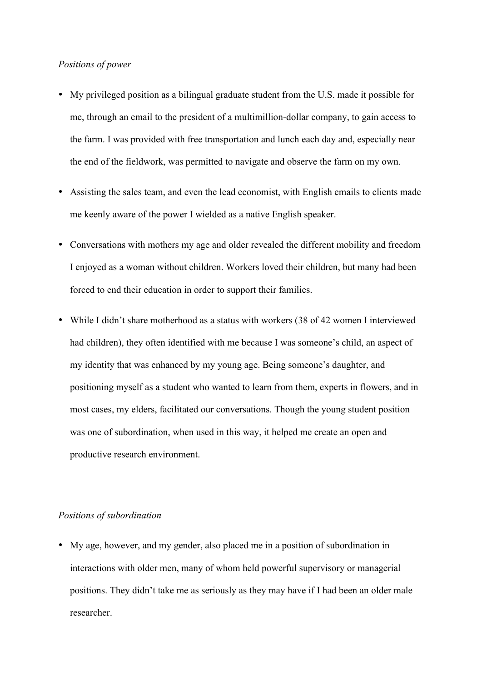### *Positions of power*

- My privileged position as a bilingual graduate student from the U.S. made it possible for me, through an email to the president of a multimillion-dollar company, to gain access to the farm. I was provided with free transportation and lunch each day and, especially near the end of the fieldwork, was permitted to navigate and observe the farm on my own.
- Assisting the sales team, and even the lead economist, with English emails to clients made me keenly aware of the power I wielded as a native English speaker.
- Conversations with mothers my age and older revealed the different mobility and freedom I enjoyed as a woman without children. Workers loved their children, but many had been forced to end their education in order to support their families.
- While I didn't share motherhood as a status with workers (38 of 42 women I interviewed had children), they often identified with me because I was someone's child, an aspect of my identity that was enhanced by my young age. Being someone's daughter, and positioning myself as a student who wanted to learn from them, experts in flowers, and in most cases, my elders, facilitated our conversations. Though the young student position was one of subordination, when used in this way, it helped me create an open and productive research environment.

#### *Positions of subordination*

• My age, however, and my gender, also placed me in a position of subordination in interactions with older men, many of whom held powerful supervisory or managerial positions. They didn't take me as seriously as they may have if I had been an older male researcher.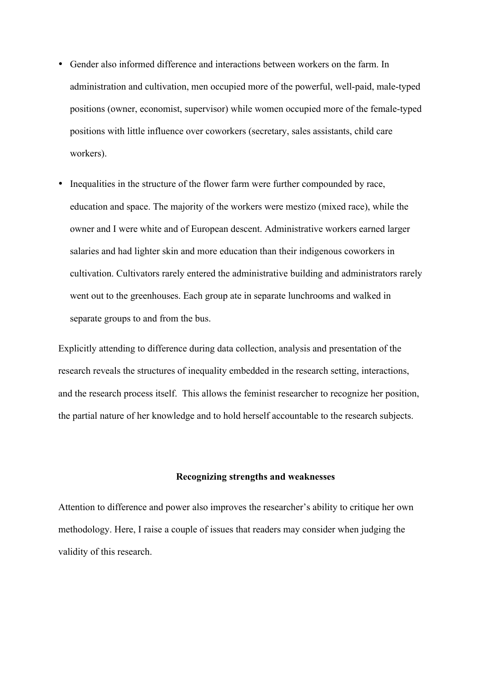- Gender also informed difference and interactions between workers on the farm. In administration and cultivation, men occupied more of the powerful, well-paid, male-typed positions (owner, economist, supervisor) while women occupied more of the female-typed positions with little influence over coworkers (secretary, sales assistants, child care workers).
- Inequalities in the structure of the flower farm were further compounded by race, education and space. The majority of the workers were mestizo (mixed race), while the owner and I were white and of European descent. Administrative workers earned larger salaries and had lighter skin and more education than their indigenous coworkers in cultivation. Cultivators rarely entered the administrative building and administrators rarely went out to the greenhouses. Each group ate in separate lunchrooms and walked in separate groups to and from the bus.

Explicitly attending to difference during data collection, analysis and presentation of the research reveals the structures of inequality embedded in the research setting, interactions, and the research process itself. This allows the feminist researcher to recognize her position, the partial nature of her knowledge and to hold herself accountable to the research subjects.

## **Recognizing strengths and weaknesses**

Attention to difference and power also improves the researcher's ability to critique her own methodology. Here, I raise a couple of issues that readers may consider when judging the validity of this research.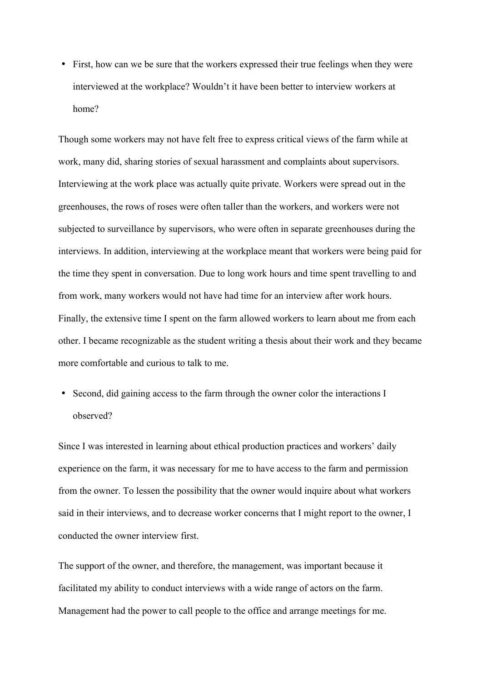• First, how can we be sure that the workers expressed their true feelings when they were interviewed at the workplace? Wouldn't it have been better to interview workers at home?

Though some workers may not have felt free to express critical views of the farm while at work, many did, sharing stories of sexual harassment and complaints about supervisors. Interviewing at the work place was actually quite private. Workers were spread out in the greenhouses, the rows of roses were often taller than the workers, and workers were not subjected to surveillance by supervisors, who were often in separate greenhouses during the interviews. In addition, interviewing at the workplace meant that workers were being paid for the time they spent in conversation. Due to long work hours and time spent travelling to and from work, many workers would not have had time for an interview after work hours. Finally, the extensive time I spent on the farm allowed workers to learn about me from each other. I became recognizable as the student writing a thesis about their work and they became more comfortable and curious to talk to me.

• Second, did gaining access to the farm through the owner color the interactions I observed?

Since I was interested in learning about ethical production practices and workers' daily experience on the farm, it was necessary for me to have access to the farm and permission from the owner. To lessen the possibility that the owner would inquire about what workers said in their interviews, and to decrease worker concerns that I might report to the owner, I conducted the owner interview first.

The support of the owner, and therefore, the management, was important because it facilitated my ability to conduct interviews with a wide range of actors on the farm. Management had the power to call people to the office and arrange meetings for me.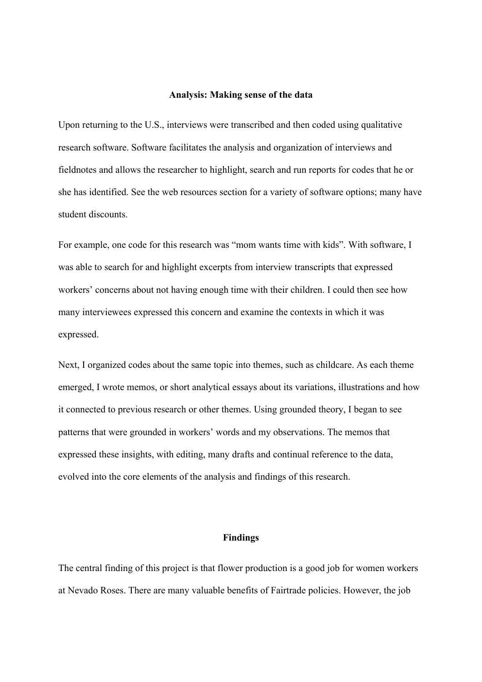#### **Analysis: Making sense of the data**

Upon returning to the U.S., interviews were transcribed and then coded using qualitative research software. Software facilitates the analysis and organization of interviews and fieldnotes and allows the researcher to highlight, search and run reports for codes that he or she has identified. See the web resources section for a variety of software options; many have student discounts.

For example, one code for this research was "mom wants time with kids". With software, I was able to search for and highlight excerpts from interview transcripts that expressed workers' concerns about not having enough time with their children. I could then see how many interviewees expressed this concern and examine the contexts in which it was expressed.

Next, I organized codes about the same topic into themes, such as childcare. As each theme emerged, I wrote memos, or short analytical essays about its variations, illustrations and how it connected to previous research or other themes. Using grounded theory, I began to see patterns that were grounded in workers' words and my observations. The memos that expressed these insights, with editing, many drafts and continual reference to the data, evolved into the core elements of the analysis and findings of this research.

#### **Findings**

The central finding of this project is that flower production is a good job for women workers at Nevado Roses. There are many valuable benefits of Fairtrade policies. However, the job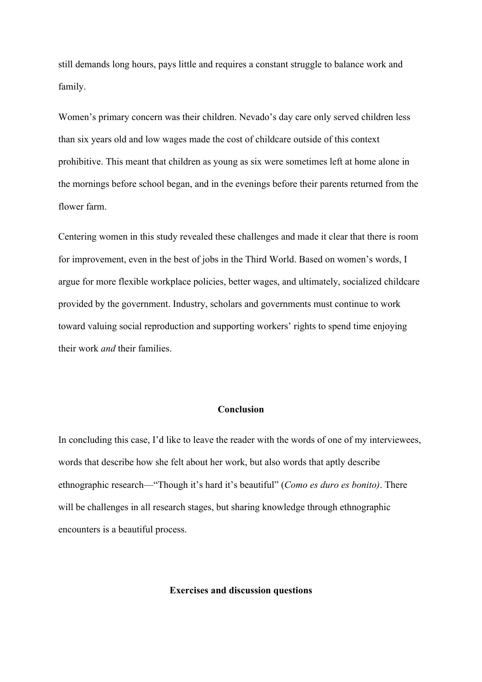still demands long hours, pays little and requires a constant struggle to balance work and family.

Women's primary concern was their children. Nevado's day care only served children less than six years old and low wages made the cost of childcare outside of this context prohibitive. This meant that children as young as six were sometimes left at home alone in the mornings before school began, and in the evenings before their parents returned from the flower farm.

Centering women in this study revealed these challenges and made it clear that there is room for improvement, even in the best of jobs in the Third World. Based on women's words, I argue for more flexible workplace policies, better wages, and ultimately, socialized childcare provided by the government. Industry, scholars and governments must continue to work toward valuing social reproduction and supporting workers' rights to spend time enjoying their work *and* their families.

#### **Conclusion**

In concluding this case, I'd like to leave the reader with the words of one of my interviewees, words that describe how she felt about her work, but also words that aptly describe ethnographic research—"Though it's hard it's beautiful" (*Como es duro es bonito)*. There will be challenges in all research stages, but sharing knowledge through ethnographic encounters is a beautiful process.

#### **Exercises and discussion questions**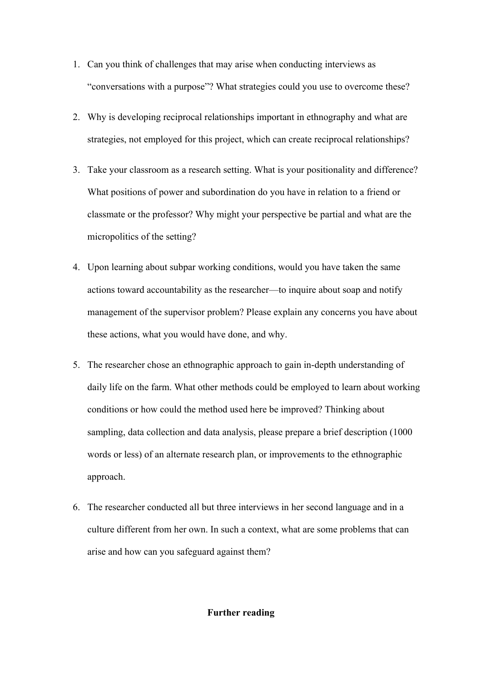- 1. Can you think of challenges that may arise when conducting interviews as "conversations with a purpose"? What strategies could you use to overcome these?
- 2. Why is developing reciprocal relationships important in ethnography and what are strategies, not employed for this project, which can create reciprocal relationships?
- 3. Take your classroom as a research setting. What is your positionality and difference? What positions of power and subordination do you have in relation to a friend or classmate or the professor? Why might your perspective be partial and what are the micropolitics of the setting?
- 4. Upon learning about subpar working conditions, would you have taken the same actions toward accountability as the researcher—to inquire about soap and notify management of the supervisor problem? Please explain any concerns you have about these actions, what you would have done, and why.
- 5. The researcher chose an ethnographic approach to gain in-depth understanding of daily life on the farm. What other methods could be employed to learn about working conditions or how could the method used here be improved? Thinking about sampling, data collection and data analysis, please prepare a brief description (1000 words or less) of an alternate research plan, or improvements to the ethnographic approach.
- 6. The researcher conducted all but three interviews in her second language and in a culture different from her own. In such a context, what are some problems that can arise and how can you safeguard against them?

## **Further reading**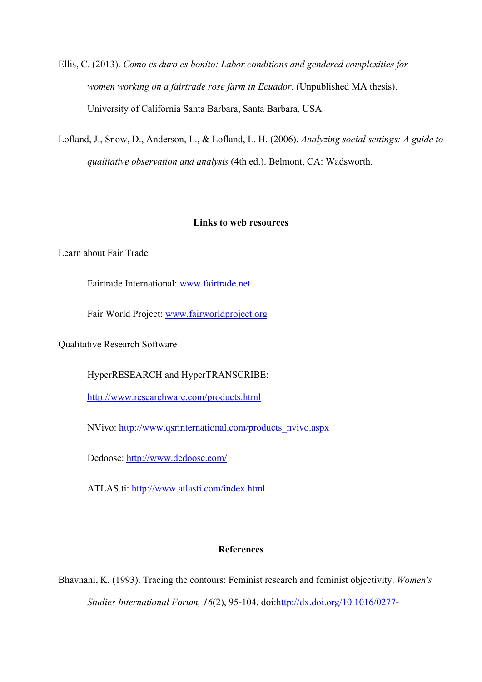Ellis, C. (2013). *Como es duro es bonito: Labor conditions and gendered complexities for women working on a fairtrade rose farm in Ecuador*. (Unpublished MA thesis). University of California Santa Barbara, Santa Barbara, USA.

Lofland, J., Snow, D., Anderson, L., & Lofland, L. H. (2006). *Analyzing social settings: A guide to qualitative observation and analysis* (4th ed.). Belmont, CA: Wadsworth.

## **Links to web resources**

Learn about Fair Trade

Fairtrade International: www.fairtrade.net

Fair World Project: www.fairworldproject.org

Qualitative Research Software

HyperRESEARCH and HyperTRANSCRIBE:

http://www.researchware.com/products.html

NVivo: http://www.qsrinternational.com/products\_nvivo.aspx

Dedoose: http://www.dedoose.com/

ATLAS.ti: http://www.atlasti.com/index.html

## **References**

Bhavnani, K. (1993). Tracing the contours: Feminist research and feminist objectivity. *Women's Studies International Forum, 16*(2), 95-104. doi:http://dx.doi.org/10.1016/0277-